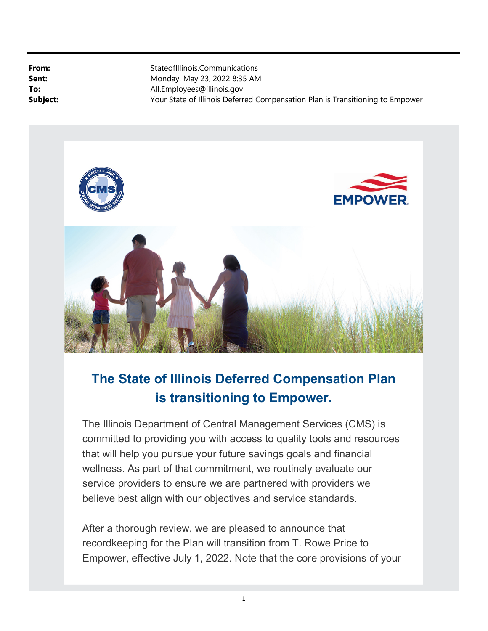From: StateofIllinois.Communications **Sent:** Monday, May 23, 2022 8:35 AM To: All.Employees@illinois.gov **Subject:** Your State of Illinois Deferred Compensation Plan is Transitioning to Empower



# The State of Illinois Deferred Compensation Plan is transitioning to Empower.

The Illinois Department of Central Management Services (CMS) is committed to providing you with access to quality tools and resources that will help you pursue your future savings goals and financial wellness. As part of that commitment, we routinely evaluate our service providers to ensure we are partnered with providers we believe best align with our objectives and service standards.

After a thorough review, we are pleased to announce that recordkeeping for the Plan will transition from T. Rowe Price to Empower, effective July 1, 2022. Note that the core provisions of your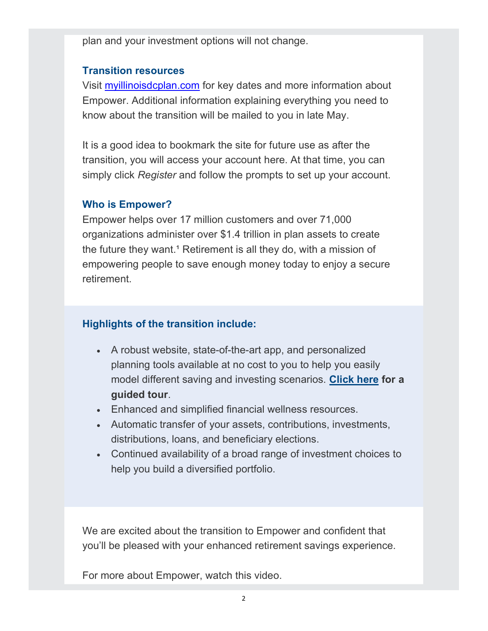plan and your investment options will not change.

# Transition resources

Visit myillinoisdcplan.com for key dates and more information about Empower. Additional information explaining everything you need to know about the transition will be mailed to you in late May.

It is a good idea to bookmark the site for future use as after the transition, you will access your account here. At that time, you can simply click Register and follow the prompts to set up your account.

## Who is Empower?

Empower helps over 17 million customers and over 71,000 organizations administer over \$1.4 trillion in plan assets to create the future they want.<sup>1</sup> Retirement is all they do, with a mission of empowering people to save enough money today to enjoy a secure retirement.

# Highlights of the transition include:

- A robust website, state-of-the-art app, and personalized planning tools available at no cost to you to help you easily model different saving and investing scenarios. Click here for a guided tour.
- Enhanced and simplified financial wellness resources.
- Automatic transfer of your assets, contributions, investments, distributions, loans, and beneficiary elections.
- Continued availability of a broad range of investment choices to help you build a diversified portfolio.

We are excited about the transition to Empower and confident that you'll be pleased with your enhanced retirement savings experience.

For more about Empower, watch this video.